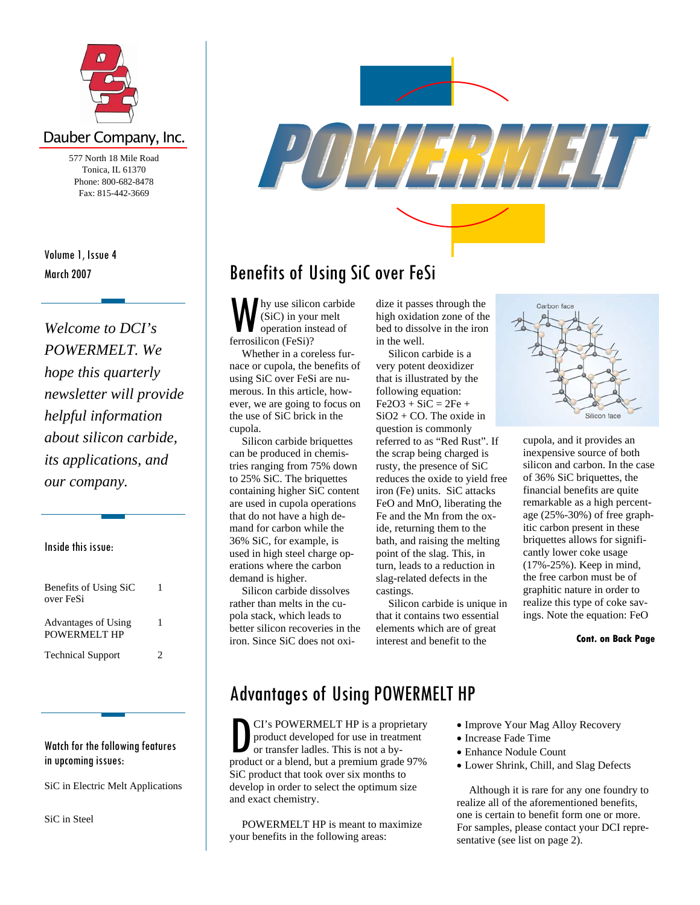

### Dauber Company, Inc.

577 North 18 Mile Road Tonica, IL 61370 Phone: 800-682-8478 Fax: 815-442-3669

Volume 1, Issue 4 March 2007

*Welcome to DCI's POWERMELT. We hope this quarterly newsletter will provide helpful information about silicon carbide, its applications, and our company.* 

Inside this issue:

| Benefits of Using SiC<br>over FeSi  | 1 |
|-------------------------------------|---|
| Advantages of Using<br>POWERMELT HP | 1 |
| <b>Technical Support</b>            | 2 |

#### Watch for the following features in upcoming issues:

SiC in Electric Melt Applications

SiC in Steel



# Benefits of Using SiC over FeSi

We hy use silicon carbide dize it passes through the<br>
(SiC) in your melt<br>
operation instead of bed to dissolve in the iron<br>
ferrosilicon (FeSi)?<br>
in the well. ferrosilicon (FeSi)? in the well.

Whether in a coreless fur-<br>Silicon carbide is a nace or cupola, the benefits of very potent deoxidizer using SiC over FeSi are nu- that is illustrated by the merous. In this article, how-<br>ever, we are going to focus on  $Fe2O3 + SiC = 2Fe +$ ever, we are going to focus on the use of SiC brick in the  $SiO2 + CO$ . The oxide in cupola. question is commonly

tries ranging from 75% down rusty, the presence of SiC silicon and carbon. In the c<br>to 25% SiC. The briquettes reduces the oxide to yield free of 36% SiC briquettes, the to 25% SiC. The briquettes reduces the oxide to yield free of 36% SiC briquettes, the containing higher SiC content iron (Fe) units. SiC attacks financial benefits are quite containing higher SiC content iron (Fe) units. SiC attacks mand for carbon while the ide, returning them to the itic carbon present in these 36% SiC, for example, is bath, and raising the melting briquettes allows for signifi-36% SiC, for example, is bath, and raising the melting briquettes allows for significant used in high steel charge op-<br>point of the slag. This, in cantly lower coke usage used in high steel charge op-<br>
erations where the carbon turn, leads to a reduction in (17%-25%). Keep in mind, erations where the carbon turn, leads to a reduction in (17%-25%). Keep in mind, demand is higher slag-related defects in the the free carbon must be of

Silicon carbide dissolves castings.

(SiC) in your melt high oxidation zone of the operation instead of bed to dissolve in the iron

Silicon carbide briquettes referred to as "Red Rust". If cupola, and it provides an he produced in chemis-<br>he scrap being charged is inexpensive source of both demand is higher.<br>Silicon carbide dissolves castings.<br>Consider the the free carbon must be of<br>example in order to the state of the state of the state of the state of the state of the state of the state of the state of the

rather than melts in the cu-<br>Silicon carbide is unique in realize this type of coke savpola stack, which leads to that it contains two essential ings. Note the equation: FeO better silicon recoveries in the elements which are of great elements which are of great iron. Since SiC does not oxi- interest and benefit to the **Cont. on Back Page** 



can be produced in chemis-<br>the scrap being charged is inexpensive source of both<br>tries ranging from 75% down rusty, the presence of SiC silicon and carbon. In the case are used in cupola operations FeO and MnO, liberating the remarkable as a high percentthat do not have a high de- Fe and the Mn from the  $\alpha$ - age (25%-30%) of free graph-

## Advantages of Using POWERMELT HP

product or a blend, but a premium grade 97% CI's POWERMELT HP is a proprietary • Improve Your Mag Alloy Recovery product developed for use in treatment • Increase Fade Time or transfer ladles. This is not a by-<br>
• Enhance Nodule Count product or a blend, but a premium grade 97% • Lower Shrink, Chill, and Slag Defects SiC product that took over six months to develop in order to select the optimum size Although it is rare for any one foundry to and exact chemistry.

POWERMELT HP is meant to maximize your benefits in the following areas:

- 
- 
- 
- 

realize all of the aforementioned benefits, one is certain to benefit form one or more. For samples, please contact your DCI representative (see list on page 2).